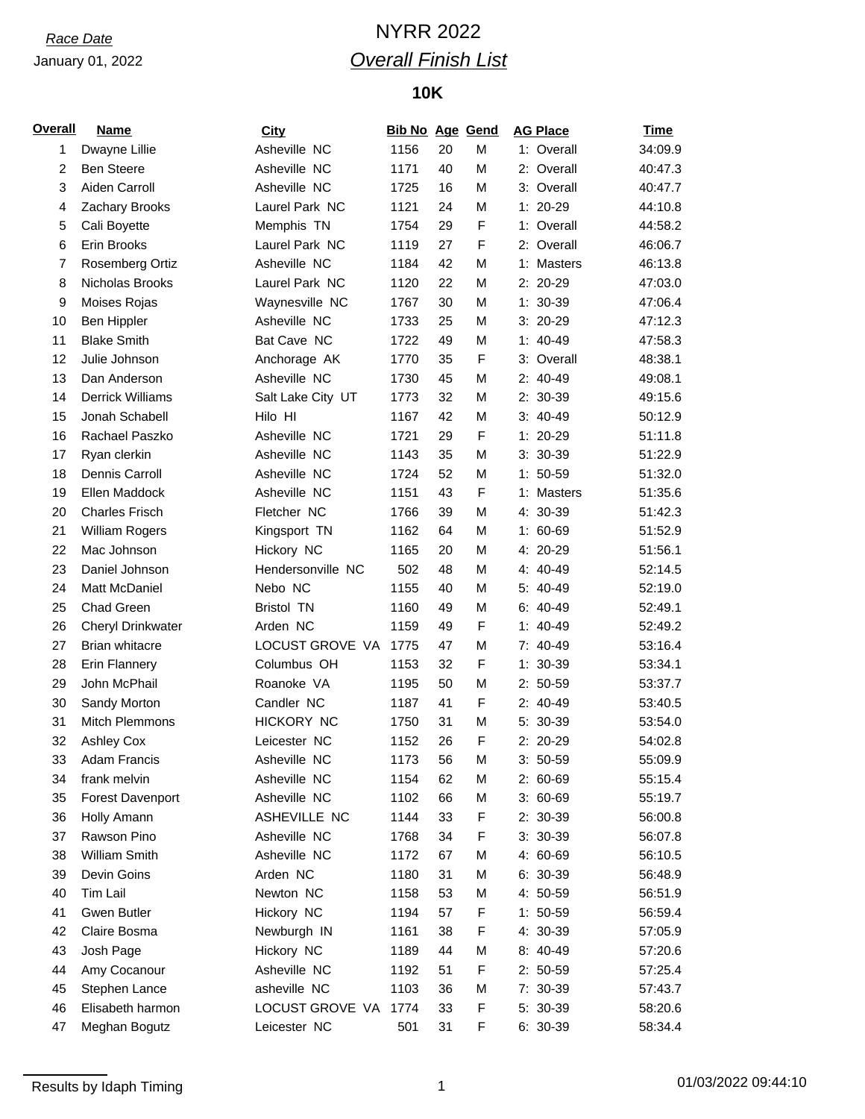### January 01, 2022

# *Race Date* NYRR 2022 *Overall Finish List*

## **10K**

| <b>Overall</b> | <b>Name</b>             | <b>City</b>          | <b>Bib No Age Gend</b> |    |             | <b>AG Place</b> | <b>Time</b> |
|----------------|-------------------------|----------------------|------------------------|----|-------------|-----------------|-------------|
| 1              | Dwayne Lillie           | Asheville NC         | 1156                   | 20 | M           | 1: Overall      | 34:09.9     |
| $\overline{2}$ | <b>Ben Steere</b>       | Asheville NC         | 1171                   | 40 | M           | 2: Overall      | 40:47.3     |
| 3              | Aiden Carroll           | Asheville NC         | 1725                   | 16 | M           | 3: Overall      | 40:47.7     |
| 4              | Zachary Brooks          | Laurel Park NC       | 1121                   | 24 | M           | 1: 20-29        | 44:10.8     |
| 5              | Cali Boyette            | Memphis TN           | 1754                   | 29 | F           | 1: Overall      | 44:58.2     |
| 6              | Erin Brooks             | Laurel Park NC       | 1119                   | 27 | $\mathsf F$ | 2: Overall      | 46:06.7     |
| $\overline{7}$ | <b>Rosemberg Ortiz</b>  | Asheville NC         | 1184                   | 42 | M           | 1: Masters      | 46:13.8     |
| 8              | Nicholas Brooks         | Laurel Park NC       | 1120                   | 22 | M           | $2: 20-29$      | 47:03.0     |
| 9              | Moises Rojas            | Waynesville NC       | 1767                   | 30 | M           | $1: 30-39$      | 47:06.4     |
| 10             | Ben Hippler             | Asheville NC         | 1733                   | 25 | M           | $3:20-29$       | 47:12.3     |
| 11             | <b>Blake Smith</b>      | Bat Cave NC          | 1722                   | 49 | M           | $1: 40-49$      | 47:58.3     |
| 12             | Julie Johnson           | Anchorage AK         | 1770                   | 35 | $\mathsf F$ | 3: Overall      | 48:38.1     |
| 13             | Dan Anderson            | Asheville NC         | 1730                   | 45 | M           | 2: 40-49        | 49:08.1     |
| 14             | <b>Derrick Williams</b> | Salt Lake City UT    | 1773                   | 32 | M           | 2: 30-39        | 49:15.6     |
| 15             | Jonah Schabell          | Hilo HI              | 1167                   | 42 | M           | $3: 40-49$      | 50:12.9     |
| 16             | Rachael Paszko          | Asheville NC         | 1721                   | 29 | F           | $1: 20-29$      | 51:11.8     |
| 17             | Ryan clerkin            | Asheville NC         | 1143                   | 35 | M           | $3: 30-39$      | 51:22.9     |
| 18             | Dennis Carroll          | Asheville NC         | 1724                   | 52 | M           | $1: 50-59$      | 51:32.0     |
| 19             | Ellen Maddock           | Asheville NC         | 1151                   | 43 | F           | 1: Masters      | 51:35.6     |
| 20             | <b>Charles Frisch</b>   | Fletcher NC          | 1766                   | 39 | M           | 4: 30-39        | 51:42.3     |
| 21             | William Rogers          | Kingsport TN         | 1162                   | 64 | M           | 1: 60-69        | 51:52.9     |
| 22             | Mac Johnson             | Hickory NC           | 1165                   | 20 | M           | 4: 20-29        | 51:56.1     |
| 23             | Daniel Johnson          | Hendersonville NC    | 502                    | 48 | M           | 4: 40-49        | 52:14.5     |
| 24             | Matt McDaniel           | Nebo NC              | 1155                   | 40 | M           | 5: 40-49        | 52:19.0     |
| 25             | Chad Green              | <b>Bristol TN</b>    | 1160                   | 49 | M           | $6: 40-49$      | 52:49.1     |
| 26             | Cheryl Drinkwater       | Arden NC             | 1159                   | 49 | $\mathsf F$ | $1: 40-49$      | 52:49.2     |
| 27             | <b>Brian whitacre</b>   | LOCUST GROVE VA 1775 |                        | 47 | M           | 7: 40-49        | 53:16.4     |
| 28             | Erin Flannery           | Columbus OH          | 1153                   | 32 | $\mathsf F$ | $1: 30-39$      | 53:34.1     |
| 29             | John McPhail            | Roanoke VA           | 1195                   | 50 | M           | $2: 50-59$      | 53:37.7     |
| 30             | Sandy Morton            | Candler NC           | 1187                   | 41 | F           | $2: 40-49$      | 53:40.5     |
| 31             | Mitch Plemmons          | HICKORY NC           | 1750                   | 31 | M           | 5: 30-39        | 53:54.0     |
| 32             | <b>Ashley Cox</b>       | Leicester NC         | 1152                   | 26 | F           | 2: 20-29        | 54:02.8     |
| 33             | <b>Adam Francis</b>     | Asheville NC         | 1173                   | 56 | М           | $3:50-59$       | 55:09.9     |
| 34             | frank melvin            | Asheville NC         | 1154                   | 62 | M           | 2: 60-69        | 55:15.4     |
| 35             | <b>Forest Davenport</b> | Asheville NC         | 1102                   | 66 | M           | $3:60-69$       | 55:19.7     |
| 36             | Holly Amann             | ASHEVILLE NC         | 1144                   | 33 | F           | 2: 30-39        | 56:00.8     |
| 37             | Rawson Pino             | Asheville NC         | 1768                   | 34 | F           | 3: 30-39        | 56:07.8     |
| 38             | William Smith           | Asheville NC         | 1172                   | 67 | M           | 4: 60-69        | 56:10.5     |
| 39             | Devin Goins             | Arden NC             | 1180                   | 31 | M           | $6: 30-39$      | 56:48.9     |
| 40             | Tim Lail                | Newton NC            | 1158                   | 53 | M           | 4: 50-59        | 56:51.9     |
| 41             | Gwen Butler             | Hickory NC           | 1194                   | 57 | F           | $1: 50-59$      | 56:59.4     |
| 42             | Claire Bosma            | Newburgh IN          | 1161                   | 38 | F           | 4: 30-39        | 57:05.9     |
| 43             | Josh Page               | Hickory NC           | 1189                   | 44 | М           | 8: 40-49        | 57:20.6     |
| 44             | Amy Cocanour            | Asheville NC         | 1192                   | 51 | F           | $2: 50-59$      | 57:25.4     |
| 45             | Stephen Lance           | asheville NC         | 1103                   | 36 | М           | 7: 30-39        | 57:43.7     |
| 46             | Elisabeth harmon        | LOCUST GROVE VA 1774 |                        | 33 | F           | 5: 30-39        | 58:20.6     |
| 47             | Meghan Bogutz           | Leicester NC         | 501                    | 31 | F           | 6: 30-39        | 58:34.4     |
|                |                         |                      |                        |    |             |                 |             |

## Results by Idaph Timing 2001/03/2022 09:44:10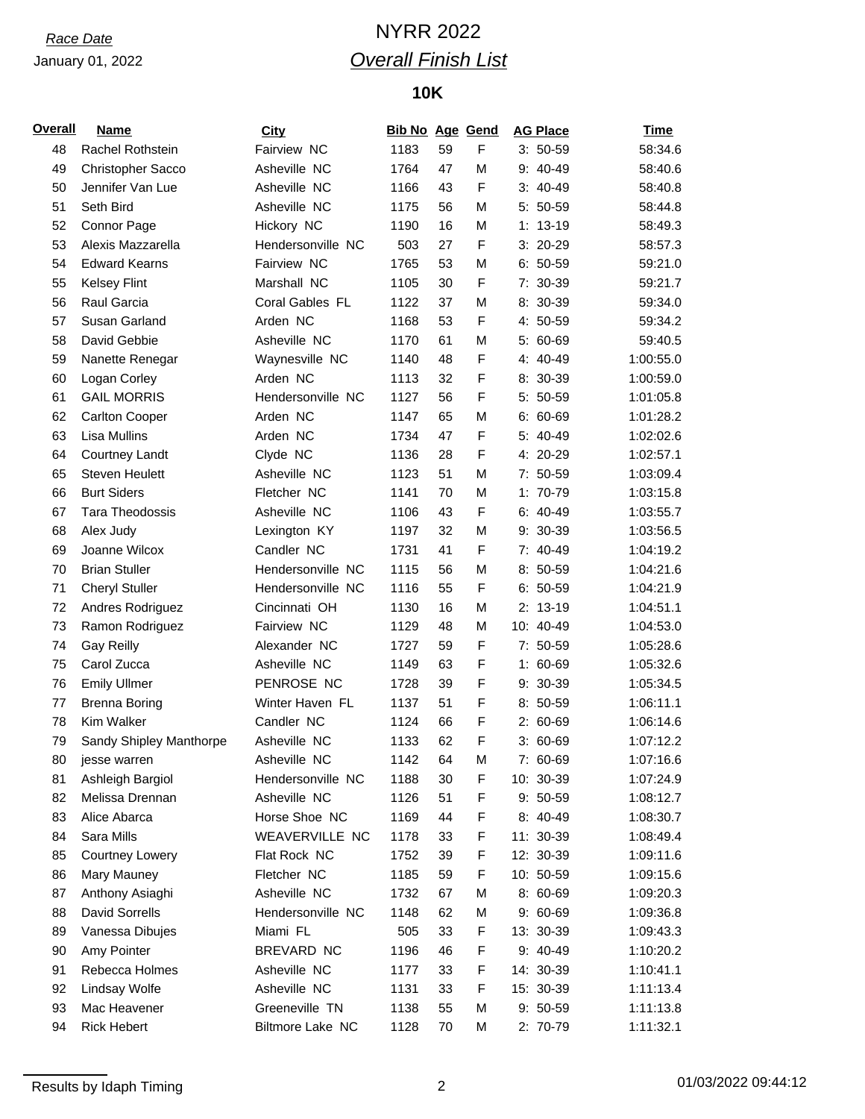### January 01, 2022

# *Race Date* NYRR 2022 *Overall Finish List*

## **10K**

| <u>Overall</u> | <b>Name</b>             | <b>City</b>       | <b>Bib No Age Gend</b> |    |              | <b>AG Place</b> | <u>Time</u> |
|----------------|-------------------------|-------------------|------------------------|----|--------------|-----------------|-------------|
| 48             | Rachel Rothstein        | Fairview NC       | 1183                   | 59 | F            | $3: 50-59$      | 58:34.6     |
| 49             | Christopher Sacco       | Asheville NC      | 1764                   | 47 | M            | 9: 40-49        | 58:40.6     |
| 50             | Jennifer Van Lue        | Asheville NC      | 1166                   | 43 | F            | $3: 40-49$      | 58:40.8     |
| 51             | Seth Bird               | Asheville NC      | 1175                   | 56 | M            | $5: 50-59$      | 58:44.8     |
| 52             | Connor Page             | Hickory NC        | 1190                   | 16 | M            | $1: 13-19$      | 58:49.3     |
| 53             | Alexis Mazzarella       | Hendersonville NC | 503                    | 27 | F            | $3:20-29$       | 58:57.3     |
| 54             | <b>Edward Kearns</b>    | Fairview NC       | 1765                   | 53 | M            | $6: 50-59$      | 59:21.0     |
| 55             | <b>Kelsey Flint</b>     | Marshall NC       | 1105                   | 30 | F            | 7: 30-39        | 59:21.7     |
| 56             | Raul Garcia             | Coral Gables FL   | 1122                   | 37 | M            | 8: 30-39        | 59:34.0     |
| 57             | Susan Garland           | Arden NC          | 1168                   | 53 | F            | 4: 50-59        | 59:34.2     |
| 58             | David Gebbie            | Asheville NC      | 1170                   | 61 | M            | $5:60-69$       | 59:40.5     |
| 59             | Nanette Renegar         | Waynesville NC    | 1140                   | 48 | F            | 4: 40-49        | 1:00:55.0   |
| 60             | Logan Corley            | Arden NC          | 1113                   | 32 | F            | 8: 30-39        | 1:00:59.0   |
| 61             | <b>GAIL MORRIS</b>      | Hendersonville NC | 1127                   | 56 | F            | 5: 50-59        | 1:01:05.8   |
| 62             | <b>Carlton Cooper</b>   | Arden NC          | 1147                   | 65 | M            | $6: 60-69$      | 1:01:28.2   |
| 63             | <b>Lisa Mullins</b>     | Arden NC          | 1734                   | 47 | F            | 5: 40-49        | 1:02:02.6   |
| 64             | <b>Courtney Landt</b>   | Clyde NC          | 1136                   | 28 | F            | 4: 20-29        | 1:02:57.1   |
| 65             | <b>Steven Heulett</b>   | Asheville NC      | 1123                   | 51 | M            | 7: 50-59        | 1:03:09.4   |
| 66             | <b>Burt Siders</b>      | Fletcher NC       | 1141                   | 70 | M            | 1: 70-79        | 1:03:15.8   |
| 67             | <b>Tara Theodossis</b>  | Asheville NC      | 1106                   | 43 | F            | $6: 40-49$      | 1:03:55.7   |
| 68             | Alex Judy               | Lexington KY      | 1197                   | 32 | M            | 9: 30-39        | 1:03:56.5   |
| 69             | Joanne Wilcox           | Candler NC        | 1731                   | 41 | F            | 7: 40-49        | 1:04:19.2   |
| 70             | <b>Brian Stuller</b>    | Hendersonville NC | 1115                   | 56 | M            | $8:50-59$       | 1:04:21.6   |
| 71             | <b>Cheryl Stuller</b>   | Hendersonville NC | 1116                   | 55 | F            | $6: 50-59$      | 1:04:21.9   |
| 72             | Andres Rodriguez        | Cincinnati OH     | 1130                   | 16 | M            | $2: 13-19$      | 1:04:51.1   |
| 73             | Ramon Rodriguez         | Fairview NC       | 1129                   | 48 | M            | 10: 40-49       | 1:04:53.0   |
| 74             | <b>Gay Reilly</b>       | Alexander NC      | 1727                   | 59 | $\mathsf{F}$ | 7: 50-59        | 1:05:28.6   |
| 75             | Carol Zucca             | Asheville NC      | 1149                   | 63 | F            | $1: 60-69$      | 1:05:32.6   |
| 76             | <b>Emily Ullmer</b>     | PENROSE NC        | 1728                   | 39 | F            | 9: 30-39        | 1:05:34.5   |
| 77             | <b>Brenna Boring</b>    | Winter Haven FL   | 1137                   | 51 | F            | $8:50-59$       | 1:06:11.1   |
| 78             | <b>Kim Walker</b>       | Candler NC        | 1124                   | 66 | F            | $2: 60-69$      | 1:06:14.6   |
| 79             | Sandy Shipley Manthorpe | Asheville NC      | 1133                   | 62 | F            | $3:60-69$       | 1:07:12.2   |
| 80             | jesse warren            | Asheville NC      | 1142                   | 64 | М            | 7: 60-69        | 1:07:16.6   |
| 81             | Ashleigh Bargiol        | Hendersonville NC | 1188                   | 30 | F            | 10: 30-39       | 1:07:24.9   |
| 82             | Melissa Drennan         | Asheville NC      | 1126                   | 51 | F            | $9:50-59$       | 1:08:12.7   |
| 83             | Alice Abarca            | Horse Shoe NC     | 1169                   | 44 | F            | 8: 40-49        | 1:08:30.7   |
| 84             | Sara Mills              | WEAVERVILLE NC    | 1178                   | 33 | F            | 11: 30-39       | 1:08:49.4   |
| 85             | <b>Courtney Lowery</b>  | Flat Rock NC      | 1752                   | 39 | F            | 12: 30-39       | 1:09:11.6   |
| 86             | Mary Mauney             | Fletcher NC       | 1185                   | 59 | F            | 10: 50-59       | 1:09:15.6   |
| 87             | Anthony Asiaghi         | Asheville NC      | 1732                   | 67 | M            | 8: 60-69        | 1:09:20.3   |
| 88             | David Sorrells          | Hendersonville NC | 1148                   | 62 | М            | $9:60-69$       | 1:09:36.8   |
| 89             | Vanessa Dibujes         | Miami FL          | 505                    | 33 | F            | 13: 30-39       | 1:09:43.3   |
| 90             | Amy Pointer             | BREVARD NC        | 1196                   | 46 | F            | 9: 40-49        | 1:10:20.2   |
| 91             | Rebecca Holmes          | Asheville NC      | 1177                   | 33 | F            | 14: 30-39       | 1:10:41.1   |
| 92             | Lindsay Wolfe           | Asheville NC      | 1131                   | 33 | F            | 15: 30-39       | 1:11:13.4   |
| 93             | Mac Heavener            | Greeneville TN    | 1138                   | 55 | M            | 9: 50-59        | 1:11:13.8   |
| 94             | <b>Rick Hebert</b>      | Biltmore Lake NC  | 1128                   | 70 | M            | 2: 70-79        | 1:11:32.1   |
|                |                         |                   |                        |    |              |                 |             |

Results by Idaph Timing 2 01/03/2022 09:44:12